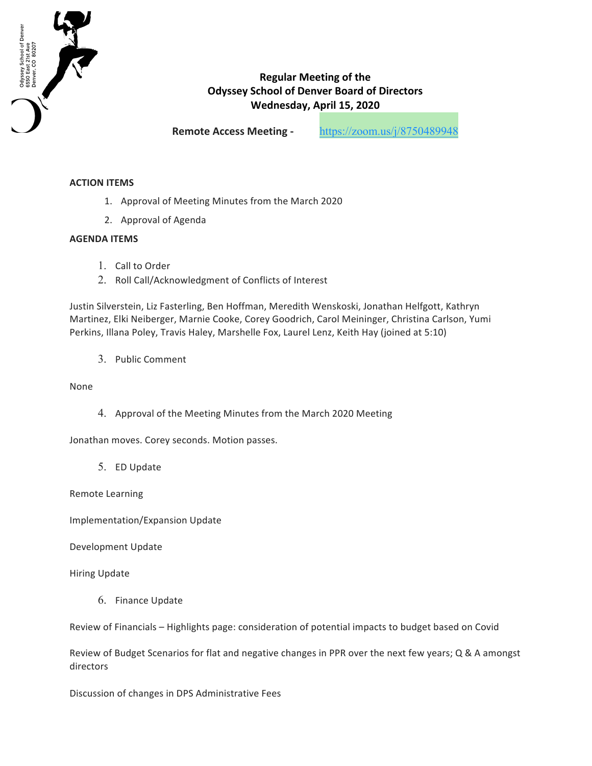

## **Regular Meeting of the Odyssey School of Denver Board of Directors Wednesday, April 15, 2020**

**Remote Access Meeting -** https://zoom.us/j/8750489948

## **ACTION ITEMS**

- 1. Approval of Meeting Minutes from the March 2020
- 2. Approval of Agenda

## **AGENDA ITEMS**

- 1. Call to Order
- 2. Roll Call/Acknowledgment of Conflicts of Interest

Justin Silverstein, Liz Fasterling, Ben Hoffman, Meredith Wenskoski, Jonathan Helfgott, Kathryn Martinez, Elki Neiberger, Marnie Cooke, Corey Goodrich, Carol Meininger, Christina Carlson, Yumi Perkins, Illana Poley, Travis Haley, Marshelle Fox, Laurel Lenz, Keith Hay (joined at 5:10)

3. Public Comment 

None

4. Approval of the Meeting Minutes from the March 2020 Meeting

Jonathan moves. Corey seconds. Motion passes.

5. ED Update 

Remote Learning

Implementation/Expansion Update

Development Update

Hiring Update

6. Finance Update 

Review of Financials - Highlights page: consideration of potential impacts to budget based on Covid

Review of Budget Scenarios for flat and negative changes in PPR over the next few years; Q & A amongst directors

Discussion of changes in DPS Administrative Fees